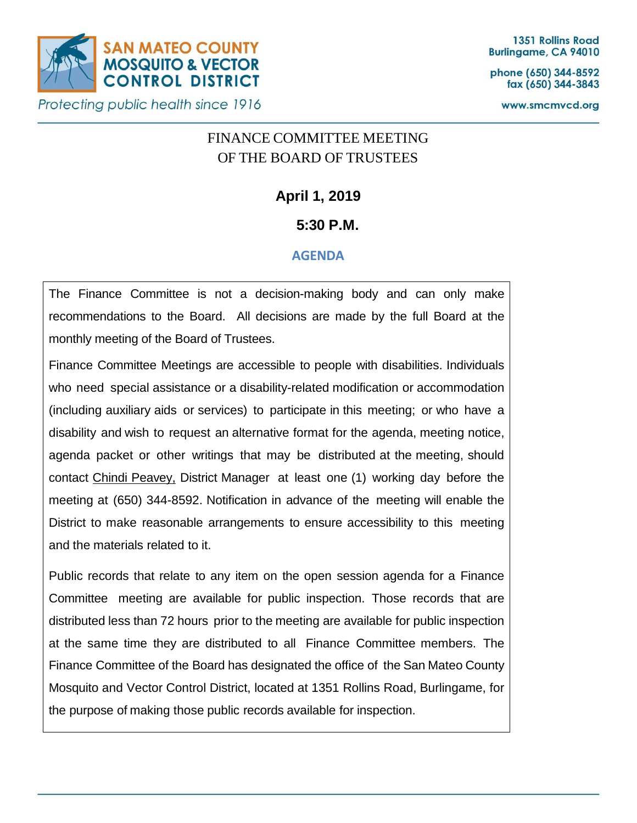

phone (650) 344-8592 fax (650) 344-3843

www.smcmvcd.org

# FINANCE COMMITTEE MEETING OF THE BOARD OF TRUSTEES

**April 1, 2019**

## **5:30 P.M.**

### **AGENDA**

The Finance Committee is not a decision-making body and can only make recommendations to the Board. All decisions are made by the full Board at the monthly meeting of the Board of Trustees.

Finance Committee Meetings are accessible to people with disabilities. Individuals who need special assistance or a disability-related modification or accommodation (including auxiliary aids or services) to participate in this meeting; or who have a disability and wish to request an alternative format for the agenda, meeting notice, agenda packet or other writings that may be distributed at the meeting, should contact Chindi Peavey, District Manager at least one (1) working day before the meeting at (650) 344-8592. Notification in advance of the meeting will enable the District to make reasonable arrangements to ensure accessibility to this meeting and the materials related to it.

Public records that relate to any item on the open session agenda for a Finance Committee meeting are available for public inspection. Those records that are distributed less than 72 hours prior to the meeting are available for public inspection at the same time they are distributed to all Finance Committee members. The Finance Committee of the Board has designated the office of the San Mateo County Mosquito and Vector Control District, located at 1351 Rollins Road, Burlingame, for the purpose of making those public records available for inspection.